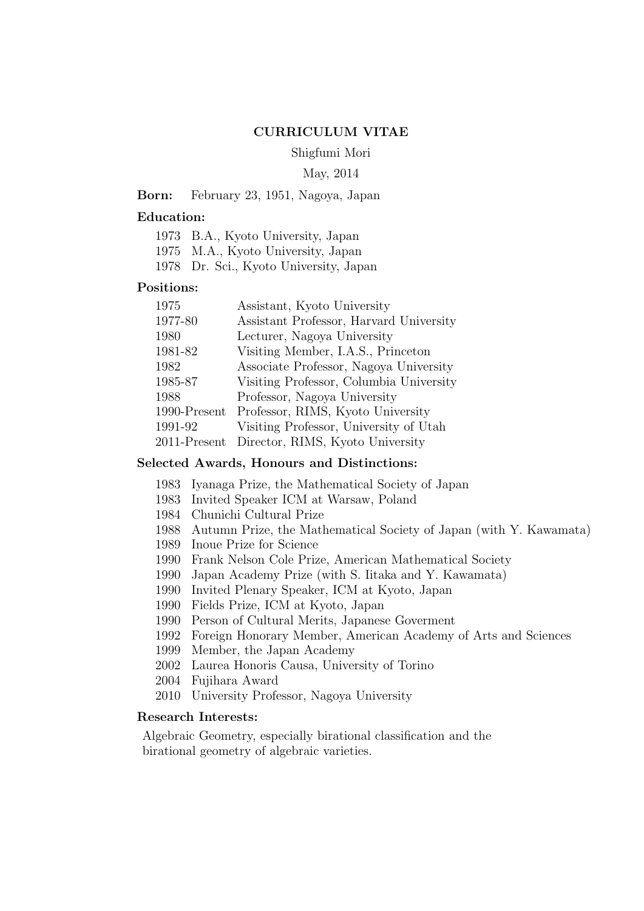## **CURRICULUM VITAE**

Shigfumi Mori

#### May, 2014

## **Born:** February 23, 1951, Nagoya, Japan

# **Education:**

|  |  |  | 1973 B.A., Kyoto University, Japan |  |
|--|--|--|------------------------------------|--|
|--|--|--|------------------------------------|--|

- 1975 M.A., Kyoto University, Japan
- 1978 Dr. Sci., Kyoto University, Japan

#### **Positions:**

| Assistant, Kyoto University             |
|-----------------------------------------|
| Assistant Professor, Harvard University |
| Lecturer, Nagoya University             |
| Visiting Member, I.A.S., Princeton      |
| Associate Professor, Nagoya University  |
| Visiting Professor, Columbia University |
| Professor, Nagoya University            |
| Professor, RIMS, Kyoto University       |
| Visiting Professor, University of Utah  |
| Director, RIMS, Kyoto University        |
|                                         |

## **Selected Awards, Honours and Distinctions:**

- 1983 Iyanaga Prize, the Mathematical Society of Japan
- 1983 Invited Speaker ICM at Warsaw, Poland
- 1984 Chunichi Cultural Prize
- 1988 Autumn Prize, the Mathematical Society of Japan (with Y. Kawamata)
- 1989 Inoue Prize for Science
- 1990 Frank Nelson Cole Prize, American Mathematical Society
- 1990 Japan Academy Prize (with S. Iitaka and Y. Kawamata)
- 1990 Invited Plenary Speaker, ICM at Kyoto, Japan
- 1990 Fields Prize, ICM at Kyoto, Japan
- 1990 Person of Cultural Merits, Japanese Goverment
- 1992 Foreign Honorary Member, American Academy of Arts and Sciences
- 1999 Member, the Japan Academy
- 2002 Laurea Honoris Causa, University of Torino
- 2004 Fujihara Award
- 2010 University Professor, Nagoya University

## **Research Interests:**

Algebraic Geometry, especially birational classification and the birational geometry of algebraic varieties.